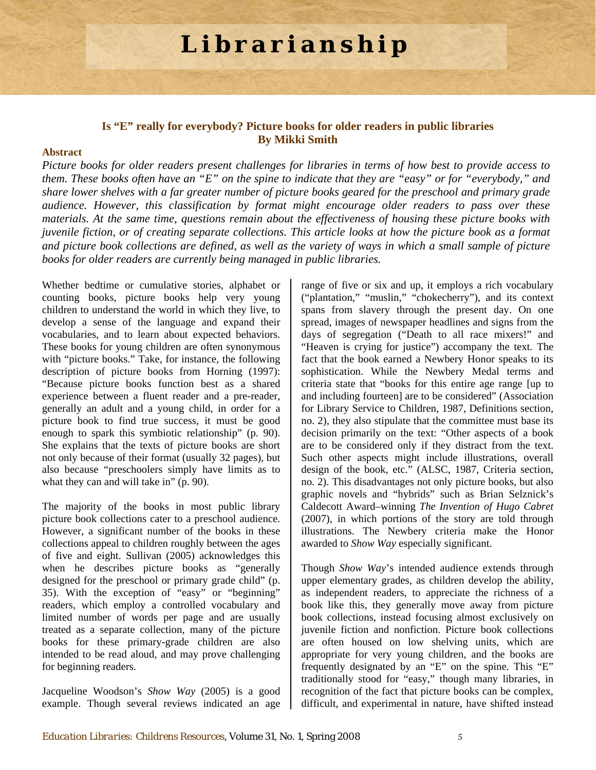# **Librarianship**

## **Is "E" really for everybody? Picture books for older readers in public libraries By Mikki Smith**

## **Abstract**

*Picture books for older readers present challenges for libraries in terms of how best to provide access to them. These books often have an "E" on the spine to indicate that they are "easy" or for "everybody," and share lower shelves with a far greater number of picture books geared for the preschool and primary grade audience. However, this classification by format might encourage older readers to pass over these materials. At the same time, questions remain about the effectiveness of housing these picture books with juvenile fiction, or of creating separate collections. This article looks at how the picture book as a format and picture book collections are defined, as well as the variety of ways in which a small sample of picture books for older readers are currently being managed in public libraries.* 

Whether bedtime or cumulative stories, alphabet or counting books, picture books help very young children to understand the world in which they live, to develop a sense of the language and expand their vocabularies, and to learn about expected behaviors. These books for young children are often synonymous with "picture books." Take, for instance, the following description of picture books from Horning (1997): "Because picture books function best as a shared experience between a fluent reader and a pre-reader, generally an adult and a young child, in order for a picture book to find true success, it must be good enough to spark this symbiotic relationship" (p. 90). She explains that the texts of picture books are short not only because of their format (usually 32 pages), but also because "preschoolers simply have limits as to what they can and will take in" (p. 90).

The majority of the books in most public library picture book collections cater to a preschool audience. However, a significant number of the books in these collections appeal to children roughly between the ages of five and eight. Sullivan (2005) acknowledges this when he describes picture books as "generally designed for the preschool or primary grade child" (p. 35). With the exception of "easy" or "beginning" readers, which employ a controlled vocabulary and limited number of words per page and are usually treated as a separate collection, many of the picture books for these primary-grade children are also intended to be read aloud, and may prove challenging for beginning readers.

Jacqueline Woodson's *Show Way* (2005) is a good example. Though several reviews indicated an age

range of five or six and up, it employs a rich vocabulary ("plantation," "muslin," "chokecherry"), and its context spans from slavery through the present day. On one spread, images of newspaper headlines and signs from the days of segregation ("Death to all race mixers!" and "Heaven is crying for justice") accompany the text. The fact that the book earned a Newbery Honor speaks to its sophistication. While the Newbery Medal terms and criteria state that "books for this entire age range [up to and including fourteen] are to be considered" (Association for Library Service to Children, 1987, Definitions section, no. 2), they also stipulate that the committee must base its decision primarily on the text: "Other aspects of a book are to be considered only if they distract from the text. Such other aspects might include illustrations, overall design of the book, etc." (ALSC, 1987, Criteria section, no. 2). This disadvantages not only picture books, but also graphic novels and "hybrids" such as Brian Selznick's Caldecott Award–winning *The Invention of Hugo Cabret* (2007), in which portions of the story are told through illustrations. The Newbery criteria make the Honor awarded to *Show Way* especially significant.

Though *Show Way*'s intended audience extends through upper elementary grades, as children develop the ability, as independent readers, to appreciate the richness of a book like this*,* they generally move away from picture book collections, instead focusing almost exclusively on juvenile fiction and nonfiction. Picture book collections are often housed on low shelving units, which are appropriate for very young children, and the books are frequently designated by an "E" on the spine. This "E" traditionally stood for "easy," though many libraries, in recognition of the fact that picture books can be complex, difficult, and experimental in nature, have shifted instead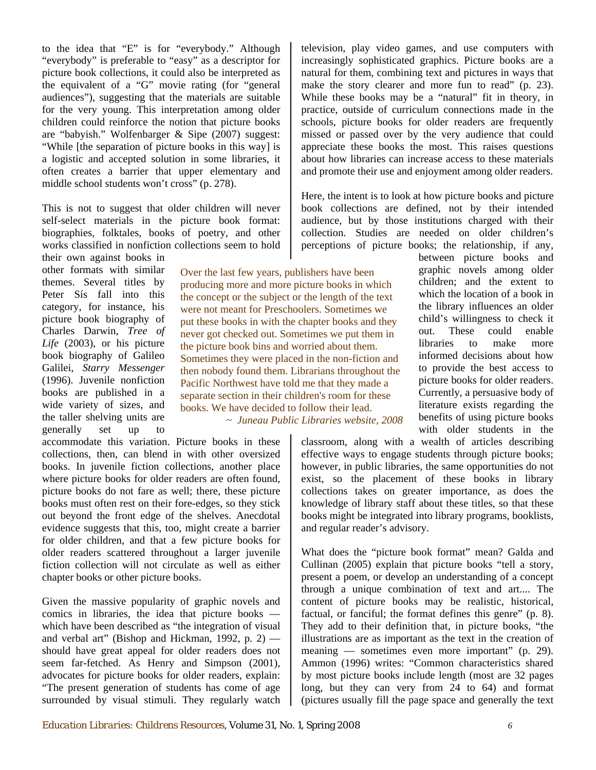to the idea that "E" is for "everybody." Although "everybody" is preferable to "easy" as a descriptor for picture book collections, it could also be interpreted as the equivalent of a "G" movie rating (for "general audiences"), suggesting that the materials are suitable for the very young. This interpretation among older children could reinforce the notion that picture books are "babyish." Wolfenbarger & Sipe (2007) suggest: "While [the separation of picture books in this way] is a logistic and accepted solution in some libraries, it often creates a barrier that upper elementary and middle school students won't cross" (p. 278).

This is not to suggest that older children will never self-select materials in the picture book format: biographies, folktales, books of poetry, and other works classified in nonfiction collections seem to hold

their own against books in other formats with similar themes. Several titles by Peter Sís fall into this category, for instance, his picture book biography of Charles Darwin, *Tree of Life* (2003), or his picture book biography of Galileo Galilei, *Starry Messenger* (1996). Juvenile nonfiction books are published in a wide variety of sizes, and the taller shelving units are generally set up to

accommodate this variation. Picture books in these collections, then, can blend in with other oversized books. In juvenile fiction collections, another place where picture books for older readers are often found, picture books do not fare as well; there, these picture books must often rest on their fore-edges, so they stick out beyond the front edge of the shelves. Anecdotal evidence suggests that this, too, might create a barrier for older children, and that a few picture books for older readers scattered throughout a larger juvenile fiction collection will not circulate as well as either chapter books or other picture books.

Given the massive popularity of graphic novels and comics in libraries, the idea that picture books which have been described as "the integration of visual and verbal art" (Bishop and Hickman, 1992, p.  $2$ ) should have great appeal for older readers does not seem far-fetched. As Henry and Simpson (2001), advocates for picture books for older readers, explain: "The present generation of students has come of age surrounded by visual stimuli. They regularly watch

television, play video games, and use computers with increasingly sophisticated graphics. Picture books are a natural for them, combining text and pictures in ways that make the story clearer and more fun to read" (p. 23). While these books may be a "natural" fit in theory, in practice, outside of curriculum connections made in the schools, picture books for older readers are frequently missed or passed over by the very audience that could appreciate these books the most. This raises questions about how libraries can increase access to these materials and promote their use and enjoyment among older readers.

Here, the intent is to look at how picture books and picture book collections are defined, not by their intended audience, but by those institutions charged with their collection. Studies are needed on older children's perceptions of picture books; the relationship, if any,

between picture books and graphic novels among older children; and the extent to which the location of a book in the library influences an older child's willingness to check it out. These could enable libraries to make more informed decisions about how to provide the best access to picture books for older readers. Currently, a persuasive body of literature exists regarding the benefits of using picture books with older students in the producing more and more picture books in which the concept or the subject or the length of the text

were not meant for Preschoolers. Sometimes we put these books in with the chapter books and they never got checked out. Sometimes we put them in the picture book bins and worried about them. Sometimes they were placed in the non-fiction and then nobody found them. Librarians throughout the Pacific Northwest have told me that they made a separate section in their children's room for these books. We have decided to follow their lead. *~ Juneau Public Libraries website, 2008* 

Over the last few years, publishers have been

classroom, along with a wealth of articles describing effective ways to engage students through picture books; however, in public libraries, the same opportunities do not exist, so the placement of these books in library collections takes on greater importance, as does the knowledge of library staff about these titles, so that these books might be integrated into library programs, booklists, and regular reader's advisory.

What does the "picture book format" mean? Galda and Cullinan (2005) explain that picture books "tell a story, present a poem, or develop an understanding of a concept through a unique combination of text and art.... The content of picture books may be realistic, historical, factual, or fanciful; the format defines this genre" (p. 8). They add to their definition that, in picture books, "the illustrations are as important as the text in the creation of meaning — sometimes even more important" (p. 29). Ammon (1996) writes: "Common characteristics shared by most picture books include length (most are 32 pages long, but they can very from 24 to 64) and format (pictures usually fill the page space and generally the text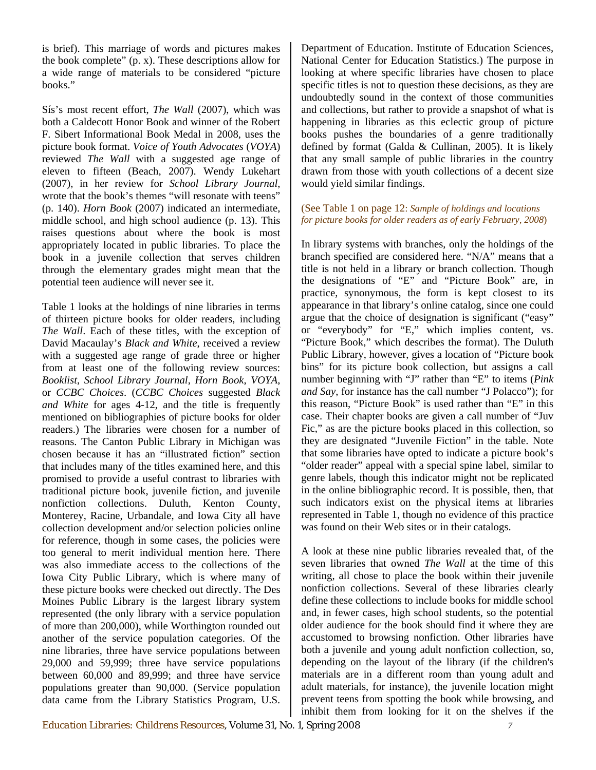is brief). This marriage of words and pictures makes the book complete" (p. x). These descriptions allow for a wide range of materials to be considered "picture books."

Sís's most recent effort, *The Wall* (2007), which was both a Caldecott Honor Book and winner of the Robert F. Sibert Informational Book Medal in 2008, uses the picture book format. *Voice of Youth Advocates* (*VOYA*) reviewed *The Wall* with a suggested age range of eleven to fifteen (Beach, 2007). Wendy Lukehart (2007), in her review for *School Library Journal*, wrote that the book's themes "will resonate with teens" (p. 140). *Horn Book* (2007) indicated an intermediate, middle school, and high school audience (p. 13). This raises questions about where the book is most appropriately located in public libraries. To place the book in a juvenile collection that serves children through the elementary grades might mean that the potential teen audience will never see it.

Table 1 looks at the holdings of nine libraries in terms of thirteen picture books for older readers, including *The Wall*. Each of these titles, with the exception of David Macaulay's *Black and White*, received a review with a suggested age range of grade three or higher from at least one of the following review sources: *Booklist*, *School Library Journal*, *Horn Book*, *VOYA*, or *CCBC Choices*. (*CCBC Choices* suggested *Black and White* for ages 4-12, and the title is frequently mentioned on bibliographies of picture books for older readers.) The libraries were chosen for a number of reasons. The Canton Public Library in Michigan was chosen because it has an "illustrated fiction" section that includes many of the titles examined here, and this promised to provide a useful contrast to libraries with traditional picture book, juvenile fiction, and juvenile nonfiction collections. Duluth, Kenton County, Monterey, Racine, Urbandale, and Iowa City all have collection development and/or selection policies online for reference, though in some cases, the policies were too general to merit individual mention here. There was also immediate access to the collections of the Iowa City Public Library, which is where many of these picture books were checked out directly. The Des Moines Public Library is the largest library system represented (the only library with a service population of more than 200,000), while Worthington rounded out another of the service population categories. Of the nine libraries, three have service populations between 29,000 and 59,999; three have service populations between 60,000 and 89,999; and three have service populations greater than 90,000. (Service population data came from the Library Statistics Program, U.S.

Department of Education. Institute of Education Sciences, National Center for Education Statistics.) The purpose in looking at where specific libraries have chosen to place specific titles is not to question these decisions, as they are undoubtedly sound in the context of those communities and collections, but rather to provide a snapshot of what is happening in libraries as this eclectic group of picture books pushes the boundaries of a genre traditionally defined by format (Galda & Cullinan, 2005). It is likely that any small sample of public libraries in the country drawn from those with youth collections of a decent size would yield similar findings.

### (See Table 1 on page 12: *Sample of holdings and locations for picture books for older readers as of early February, 2008*)

In library systems with branches, only the holdings of the branch specified are considered here. "N/A" means that a title is not held in a library or branch collection. Though the designations of "E" and "Picture Book" are, in practice, synonymous, the form is kept closest to its appearance in that library's online catalog, since one could argue that the choice of designation is significant ("easy" or "everybody" for "E," which implies content, vs. "Picture Book," which describes the format). The Duluth Public Library, however, gives a location of "Picture book bins" for its picture book collection, but assigns a call number beginning with "J" rather than "E" to items (*Pink and Say*, for instance has the call number "J Polacco"); for this reason, "Picture Book" is used rather than "E" in this case. Their chapter books are given a call number of "Juv Fic," as are the picture books placed in this collection, so they are designated "Juvenile Fiction" in the table. Note that some libraries have opted to indicate a picture book's "older reader" appeal with a special spine label, similar to genre labels, though this indicator might not be replicated in the online bibliographic record. It is possible, then, that such indicators exist on the physical items at libraries represented in Table 1, though no evidence of this practice was found on their Web sites or in their catalogs.

A look at these nine public libraries revealed that, of the seven libraries that owned *The Wall* at the time of this writing, all chose to place the book within their juvenile nonfiction collections. Several of these libraries clearly define these collections to include books for middle school and, in fewer cases, high school students, so the potential older audience for the book should find it where they are accustomed to browsing nonfiction. Other libraries have both a juvenile and young adult nonfiction collection, so, depending on the layout of the library (if the children's materials are in a different room than young adult and adult materials, for instance), the juvenile location might prevent teens from spotting the book while browsing, and inhibit them from looking for it on the shelves if the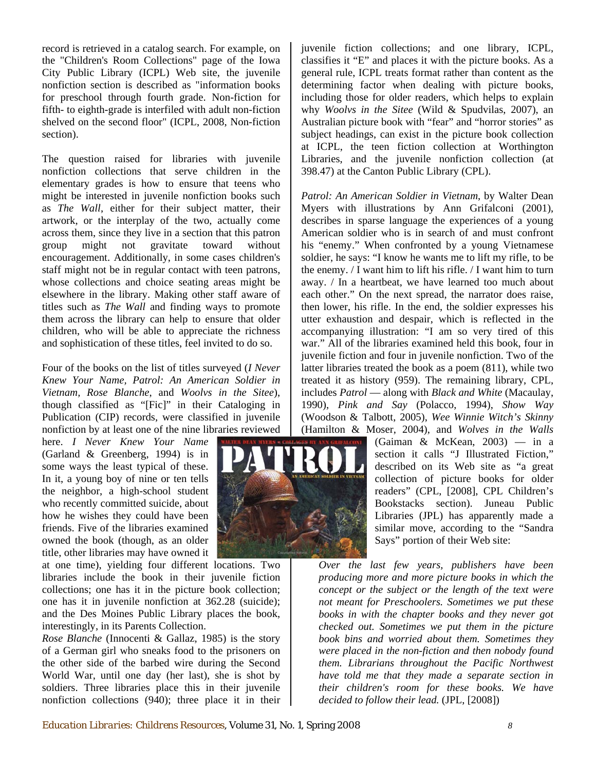record is retrieved in a catalog search. For example, on the "Children's Room Collections" page of the Iowa City Public Library (ICPL) Web site, the juvenile nonfiction section is described as "information books for preschool through fourth grade. Non-fiction for fifth- to eighth-grade is interfiled with adult non-fiction shelved on the second floor" (ICPL, 2008, Non-fiction section).

The question raised for libraries with juvenile nonfiction collections that serve children in the elementary grades is how to ensure that teens who might be interested in juvenile nonfiction books such as *The Wall*, either for their subject matter, their artwork, or the interplay of the two, actually come across them, since they live in a section that this patron group might not gravitate toward without encouragement. Additionally, in some cases children's staff might not be in regular contact with teen patrons, whose collections and choice seating areas might be elsewhere in the library. Making other staff aware of titles such as *The Wall* and finding ways to promote them across the library can help to ensure that older children, who will be able to appreciate the richness and sophistication of these titles, feel invited to do so.

Four of the books on the list of titles surveyed (*I Never Knew Your Name, Patrol: An American Soldier in Vietnam, Rose Blanche*, and *Woolvs in the Sitee*), though classified as "[Fic]" in their Cataloging in Publication (CIP) records, were classified in juvenile nonfiction by at least one of the nine libraries reviewed

here. *I Never Knew Your Name*  (Garland & Greenberg, 1994) is in some ways the least typical of these. In it, a young boy of nine or ten tells the neighbor, a high-school student who recently committed suicide, about how he wishes they could have been friends. Five of the libraries examined owned the book (though, as an older title, other libraries may have owned it

at one time), yielding four different locations. Two libraries include the book in their juvenile fiction collections; one has it in the picture book collection; one has it in juvenile nonfiction at 362.28 (suicide); and the Des Moines Public Library places the book, interestingly, in its Parents Collection.

*Rose Blanche* (Innocenti & Gallaz, 1985) is the story of a German girl who sneaks food to the prisoners on the other side of the barbed wire during the Second World War, until one day (her last), she is shot by soldiers. Three libraries place this in their juvenile nonfiction collections (940); three place it in their

juvenile fiction collections; and one library, ICPL, classifies it "E" and places it with the picture books. As a general rule, ICPL treats format rather than content as the determining factor when dealing with picture books, including those for older readers, which helps to explain why *Woolvs in the Sitee* (Wild & Spudvilas, 2007), an Australian picture book with "fear" and "horror stories" as subject headings, can exist in the picture book collection at ICPL, the teen fiction collection at Worthington Libraries, and the juvenile nonfiction collection (at 398.47) at the Canton Public Library (CPL).

*Patrol: An American Soldier in Vietnam*, by Walter Dean Myers with illustrations by Ann Grifalconi (2001), describes in sparse language the experiences of a young American soldier who is in search of and must confront his "enemy." When confronted by a young Vietnamese soldier, he says: "I know he wants me to lift my rifle, to be the enemy. / I want him to lift his rifle. / I want him to turn away. / In a heartbeat, we have learned too much about each other." On the next spread, the narrator does raise, then lower, his rifle. In the end, the soldier expresses his utter exhaustion and despair, which is reflected in the accompanying illustration: "I am so very tired of this war." All of the libraries examined held this book, four in juvenile fiction and four in juvenile nonfiction. Two of the latter libraries treated the book as a poem (811), while two treated it as history (959). The remaining library, CPL, includes *Patrol* — along with *Black and White* (Macaulay, 1990), *Pink and Say* (Polacco, 1994), *Show Way*  (Woodson & Talbott, 2005), *Wee Winnie Witch's Skinny*  (Hamilton & Moser, 2004), and *Wolves in the Walls* 

(Gaiman & McKean, 2003) — in a section it calls "J Illustrated Fiction," described on its Web site as "a great collection of picture books for older readers" (CPL, [2008], CPL Children's Bookstacks section). Juneau Public Libraries (JPL) has apparently made a similar move, according to the "Sandra Says" portion of their Web site:

*Over the last few years, publishers have been producing more and more picture books in which the concept or the subject or the length of the text were not meant for Preschoolers. Sometimes we put these books in with the chapter books and they never got checked out. Sometimes we put them in the picture book bins and worried about them. Sometimes they were placed in the non-fiction and then nobody found them. Librarians throughout the Pacific Northwest have told me that they made a separate section in their children's room for these books. We have decided to follow their lead.* (JPL, [2008])

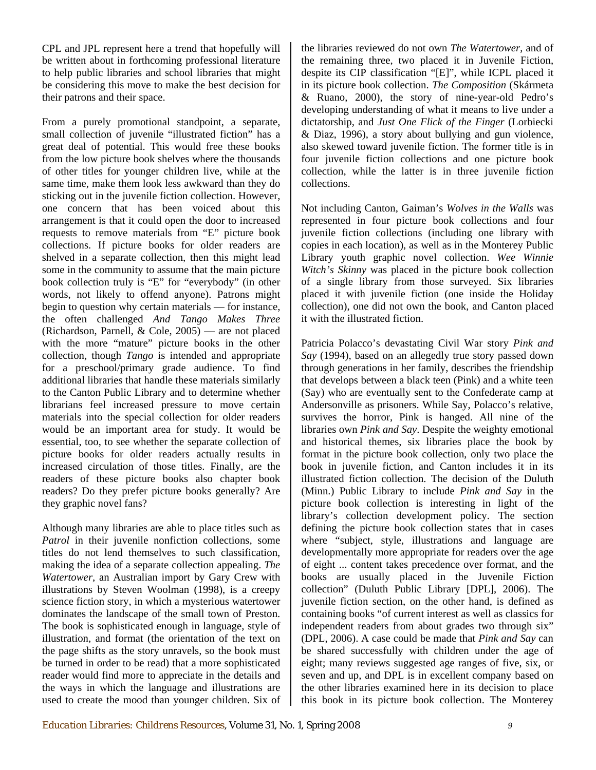CPL and JPL represent here a trend that hopefully will be written about in forthcoming professional literature to help public libraries and school libraries that might be considering this move to make the best decision for their patrons and their space.

From a purely promotional standpoint, a separate, small collection of juvenile "illustrated fiction" has a great deal of potential. This would free these books from the low picture book shelves where the thousands of other titles for younger children live, while at the same time, make them look less awkward than they do sticking out in the juvenile fiction collection. However, one concern that has been voiced about this arrangement is that it could open the door to increased requests to remove materials from "E" picture book collections. If picture books for older readers are shelved in a separate collection, then this might lead some in the community to assume that the main picture book collection truly is "E" for "everybody" (in other words, not likely to offend anyone). Patrons might begin to question why certain materials — for instance, the often challenged *And Tango Makes Three*  (Richardson, Parnell, & Cole, 2005) — are not placed with the more "mature" picture books in the other collection, though *Tango* is intended and appropriate for a preschool/primary grade audience. To find additional libraries that handle these materials similarly to the Canton Public Library and to determine whether librarians feel increased pressure to move certain materials into the special collection for older readers would be an important area for study. It would be essential, too, to see whether the separate collection of picture books for older readers actually results in increased circulation of those titles. Finally, are the readers of these picture books also chapter book readers? Do they prefer picture books generally? Are they graphic novel fans?

Although many libraries are able to place titles such as Patrol in their juvenile nonfiction collections, some titles do not lend themselves to such classification, making the idea of a separate collection appealing. *The Watertower*, an Australian import by Gary Crew with illustrations by Steven Woolman (1998), is a creepy science fiction story, in which a mysterious watertower dominates the landscape of the small town of Preston. The book is sophisticated enough in language, style of illustration, and format (the orientation of the text on the page shifts as the story unravels, so the book must be turned in order to be read) that a more sophisticated reader would find more to appreciate in the details and the ways in which the language and illustrations are used to create the mood than younger children. Six of the libraries reviewed do not own *The Watertower*, and of the remaining three, two placed it in Juvenile Fiction, despite its CIP classification "[E]", while ICPL placed it in its picture book collection. *The Composition* (Skármeta & Ruano, 2000), the story of nine-year-old Pedro's developing understanding of what it means to live under a dictatorship, and *Just One Flick of the Finger* (Lorbiecki & Diaz, 1996), a story about bullying and gun violence, also skewed toward juvenile fiction. The former title is in four juvenile fiction collections and one picture book collection, while the latter is in three juvenile fiction collections.

Not including Canton, Gaiman's *Wolves in the Walls* was represented in four picture book collections and four juvenile fiction collections (including one library with copies in each location), as well as in the Monterey Public Library youth graphic novel collection. *Wee Winnie Witch's Skinny* was placed in the picture book collection of a single library from those surveyed. Six libraries placed it with juvenile fiction (one inside the Holiday collection), one did not own the book, and Canton placed it with the illustrated fiction.

Patricia Polacco's devastating Civil War story *Pink and Say* (1994), based on an allegedly true story passed down through generations in her family, describes the friendship that develops between a black teen (Pink) and a white teen (Say) who are eventually sent to the Confederate camp at Andersonville as prisoners. While Say, Polacco's relative, survives the horror, Pink is hanged. All nine of the libraries own *Pink and Say*. Despite the weighty emotional and historical themes, six libraries place the book by format in the picture book collection, only two place the book in juvenile fiction, and Canton includes it in its illustrated fiction collection. The decision of the Duluth (Minn.) Public Library to include *Pink and Say* in the picture book collection is interesting in light of the library's collection development policy. The section defining the picture book collection states that in cases where "subject, style, illustrations and language are developmentally more appropriate for readers over the age of eight ... content takes precedence over format, and the books are usually placed in the Juvenile Fiction collection" (Duluth Public Library [DPL], 2006). The juvenile fiction section, on the other hand, is defined as containing books "of current interest as well as classics for independent readers from about grades two through six" (DPL, 2006). A case could be made that *Pink and Say* can be shared successfully with children under the age of eight; many reviews suggested age ranges of five, six, or seven and up, and DPL is in excellent company based on the other libraries examined here in its decision to place this book in its picture book collection. The Monterey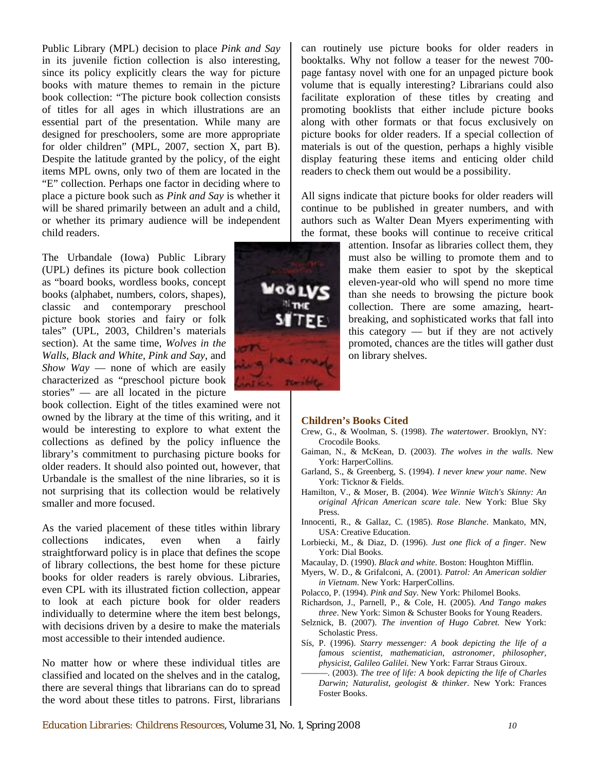Public Library (MPL) decision to place *Pink and Say* in its juvenile fiction collection is also interesting, since its policy explicitly clears the way for picture books with mature themes to remain in the picture book collection: "The picture book collection consists of titles for all ages in which illustrations are an essential part of the presentation. While many are designed for preschoolers, some are more appropriate for older children" (MPL, 2007, section X, part B). Despite the latitude granted by the policy, of the eight items MPL owns, only two of them are located in the "E" collection. Perhaps one factor in deciding where to place a picture book such as *Pink and Say* is whether it will be shared primarily between an adult and a child, or whether its primary audience will be independent child readers.

The Urbandale (Iowa) Public Library (UPL) defines its picture book collection as "board books, wordless books, concept books (alphabet, numbers, colors, shapes), classic and contemporary preschool picture book stories and fairy or folk tales" (UPL, 2003, Children's materials section). At the same time, *Wolves in the Walls*, *Black and White*, *Pink and Say*, and *Show Way* — none of which are easily characterized as "preschool picture book stories" — are all located in the picture

book collection. Eight of the titles examined were not owned by the library at the time of this writing, and it would be interesting to explore to what extent the collections as defined by the policy influence the library's commitment to purchasing picture books for older readers. It should also pointed out, however, that Urbandale is the smallest of the nine libraries, so it is not surprising that its collection would be relatively smaller and more focused.

As the varied placement of these titles within library collections indicates, even when a fairly straightforward policy is in place that defines the scope of library collections, the best home for these picture books for older readers is rarely obvious. Libraries, even CPL with its illustrated fiction collection, appear to look at each picture book for older readers individually to determine where the item best belongs, with decisions driven by a desire to make the materials most accessible to their intended audience.

No matter how or where these individual titles are classified and located on the shelves and in the catalog, there are several things that librarians can do to spread the word about these titles to patrons. First, librarians page fantasy novel with one for an unpaged picture book volume that is equally interesting? Librarians could also facilitate exploration of these titles by creating and promoting booklists that either include picture books along with other formats or that focus exclusively on picture books for older readers. If a special collection of materials is out of the question, perhaps a highly visible display featuring these items and enticing older child readers to check them out would be a possibility.

can routinely use picture books for older readers in booktalks. Why not follow a teaser for the newest 700-

All signs indicate that picture books for older readers will continue to be published in greater numbers, and with authors such as Walter Dean Myers experimenting with the format, these books will continue to receive critical



#### **Children's Books Cited**

- Crew, G., & Woolman, S. (1998). *The watertower*. Brooklyn, NY: Crocodile Books.
- Gaiman, N., & McKean, D. (2003). *The wolves in the walls*. New York: HarperCollins.
- Garland, S., & Greenberg, S. (1994). *I never knew your name*. New York: Ticknor & Fields.
- Hamilton, V., & Moser, B. (2004). *Wee Winnie Witch's Skinny: An original African American scare tale*. New York: Blue Sky Press.
- Innocenti, R., & Gallaz, C. (1985). *Rose Blanche*. Mankato, MN, USA: Creative Education.
- Lorbiecki, M., & Diaz, D. (1996). *Just one flick of a finger*. New York: Dial Books.
- Macaulay, D. (1990). *Black and white*. Boston: Houghton Mifflin.
- Myers, W. D., & Grifalconi, A. (2001). *Patrol: An American soldier in Vietnam*. New York: HarperCollins.
- Polacco, P. (1994). *Pink and Say*. New York: Philomel Books.
- Richardson, J., Parnell, P., & Cole, H. (2005). *And Tango makes three*. New York: Simon & Schuster Books for Young Readers.
- Selznick, B. (2007). *The invention of Hugo Cabret.* New York: Scholastic Press.
- Sís, P. (1996). *Starry messenger: A book depicting the life of a famous scientist, mathematician, astronomer, philosopher, physicist, Galileo Galilei*. New York: Farrar Straus Giroux.
- ———. (2003). *The tree of life: A book depicting the life of Charles Darwin; Naturalist, geologist & thinker*. New York: Frances Foster Books.

*Education Libraries: Childrens Resources*, Volume 31, No. 1, Spring 2008 *10*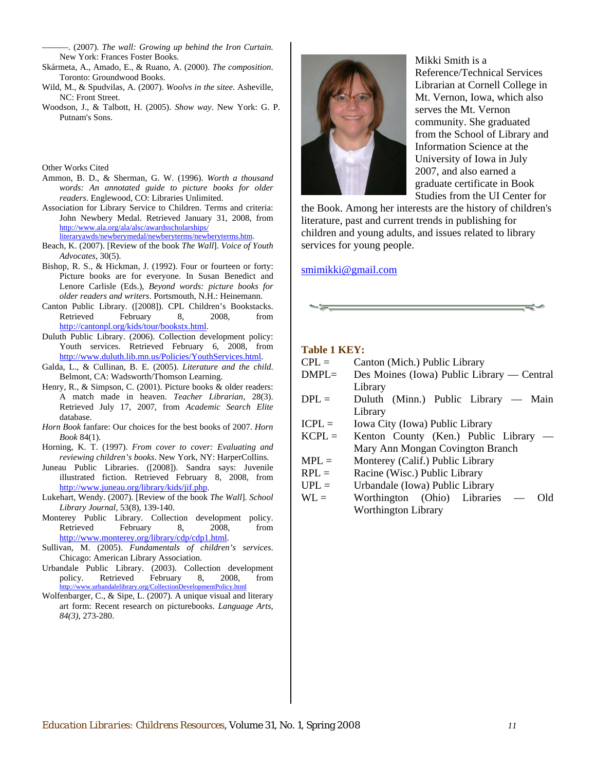———. (2007). *The wall: Growing up behind the Iron Curtain*. New York: Frances Foster Books.

- Skármeta, A., Amado, E., & Ruano, A. (2000). *The composition*. Toronto: Groundwood Books.
- Wild, M., & Spudvilas, A. (2007). *Woolvs in the sitee*. Asheville, NC: Front Street.
- Woodson, J., & Talbott, H. (2005). *Show way*. New York: G. P. Putnam's Sons.

Other Works Cited

- Ammon, B. D., & Sherman, G. W. (1996). *Worth a thousand words: An annotated guide to picture books for older readers*. Englewood, CO: Libraries Unlimited.
- Association for Library Service to Children. Terms and criteria: John Newbery Medal. Retrieved January 31, 2008, from [http://www.ala.org/ala/alsc/awardsscholarships/](http://www.ala.org/ala/alsc/awardsscholarships/literaryawds/newberymedal/newberyterms/newberyterms.htm) [literaryawds/newberymedal/newberyterms/newberyterms.htm.](http://www.ala.org/ala/alsc/awardsscholarships/literaryawds/newberymedal/newberyterms/newberyterms.htm)
- Beach, K. (2007). [Review of the book *The Wall*]. *Voice of Youth Advocates*, 30(5).
- Bishop, R. S., & Hickman, J. (1992). Four or fourteen or forty: Picture books are for everyone. In Susan Benedict and Lenore Carlisle (Eds.), *Beyond words: picture books for older readers and writers*. Portsmouth, N.H.: Heinemann.
- Canton Public Library. ([2008]). CPL Children's Bookstacks. Retrieved February 8, 2008, from <http://cantonpl.org/kids/tour/bookstx.html>.
- Duluth Public Library. (2006). Collection development policy: Youth services. Retrieved February 6, 2008, from <http://www.duluth.lib.mn.us/Policies/YouthServices.html>.
- Galda, L., & Cullinan, B. E. (2005). *Literature and the child*. Belmont, CA: Wadsworth/Thomson Learning.
- Henry, R., & Simpson, C. (2001). Picture books & older readers: A match made in heaven. *Teacher Librarian*, 28(3). Retrieved July 17, 2007, from *Academic Search Elite* database.
- *Horn Book* fanfare: Our choices for the best books of 2007. *Horn Book* 84(1).
- Horning, K. T. (1997). *From cover to cover: Evaluating and reviewing children's books*. New York, NY: HarperCollins.
- Juneau Public Libraries. ([2008]). Sandra says: Juvenile illustrated fiction. Retrieved February 8, 2008, from [http://www.juneau.org/library/kids/jif.php.](http://www.juneau.org/library/kids/jif.php)
- Lukehart, Wendy. (2007). [Review of the book *The Wall*]. *School Library Journal*, 53(8), 139-140.
- Monterey Public Library. Collection development policy. Retrieved February 8, 2008, from <http://www.monterey.org/library/cdp/cdp1.html>.
- Sullivan, M. (2005). *Fundamentals of children's services*. Chicago: American Library Association.
- Urbandale Public Library. (2003). Collection development Retrieved February 8, 2008, from<br>bandalelibrary.org/CollectionDevelopmentPolicy.html .urbandalelibrary.org/CollectionDevelopme
- Wolfenbarger, C., & Sipe, L. (2007). A unique visual and literary art form: Recent research on picturebooks. *Language Arts*, *84(3)*, 273-280.



Mikki Smith is a Reference/Technical Services Librarian at Cornell College in Mt. Vernon, Iowa, which also serves the Mt. Vernon community. She graduated from the School of Library and Information Science at the Studies from the UI Center for University of Iowa in July 2007, and also earned a graduate certificate in Book

services for young people. the Book. Among her interests are the history of children's literature, past and current trends in publishing for children and young adults, and issues related to library

#### [smimikki@gmail.com](mailto:smimikki@gmail.com)



#### **Table 1 KEY:**

- $CPL =$  Canton (Mich.) Public Library
- DMPL= Des Moines (Iowa) Public Library Central Library
- $DPL =$  Duluth (Minn.) Public Library Main Library
- $ICPL =$  Iowa City (Iowa) Public Library
- $KCPL =$  Kenton County (Ken.) Public Library Mary Ann Mongan Covington Branch
- $MPL =$  Monterey (Calif.) Public Library
- $RPL =$  Racine (Wisc.) Public Library
- $UPL =$  Urbandale (Iowa) Public Library
- WL = Worthington (Ohio) Libraries Old Worthington Library